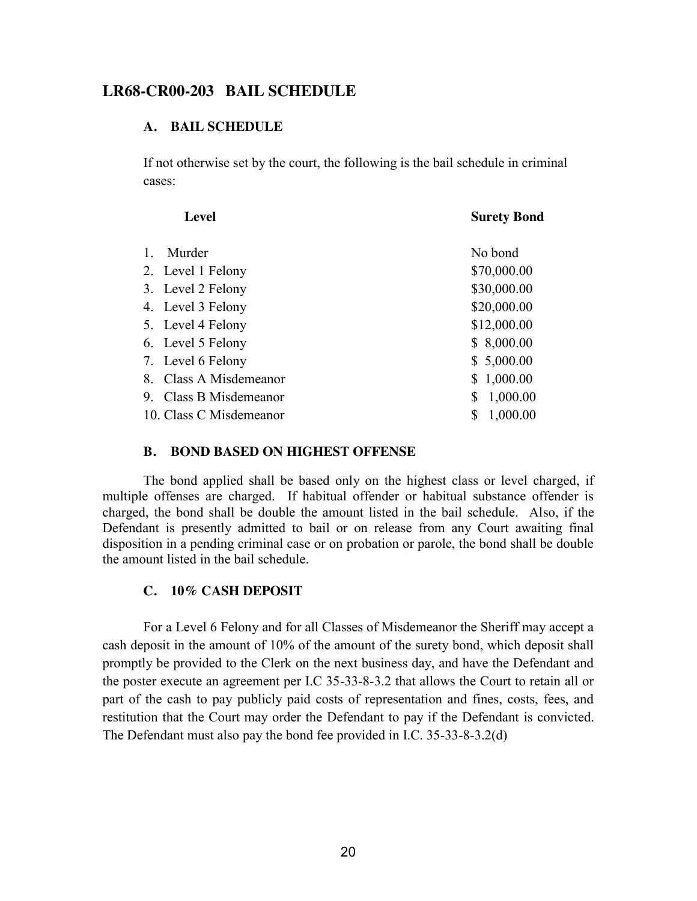# **LR68-CR00-203 BAIL SCHEDULE**

#### **A. BAIL SCHEDULE**

If not otherwise set by the court, the following is the bail schedule in criminal cases:

|    | <b>Level</b>            | <b>Surety Bond</b> |
|----|-------------------------|--------------------|
| 1. | Murder                  | No bond            |
|    | 2. Level 1 Felony       | \$70,000.00        |
|    | 3. Level 2 Felony       | \$30,000.00        |
|    | 4. Level 3 Felony       | \$20,000.00        |
|    | 5. Level 4 Felony       | \$12,000.00        |
|    | 6. Level 5 Felony       | \$8,000.00         |
|    | 7. Level 6 Felony       | \$5,000.00         |
|    | 8. Class A Misdemeanor  | \$1,000.00         |
|    | 9. Class B Misdemeanor  | 1,000.00<br>\$     |
|    | 10. Class C Misdemeanor | 1,000.00<br>\$     |

#### **B. BOND BASED ON HIGHEST OFFENSE**

The bond applied shall be based only on the highest class or level charged, if multiple offenses are charged. If habitual offender or habitual substance offender is charged, the bond shall be double the amount listed in the bail schedule. Also, if the Defendant is presently admitted to bail or on release from any Court awaiting final disposition in a pending criminal case or on probation or parole, the bond shall be double the amount listed in the bail schedule.

### **C. 10% CASH DEPOSIT**

For a Level 6 Felony and for all Classes of Misdemeanor the Sheriff may accept a cash deposit in the amount of 10% of the amount of the surety bond, which deposit shall promptly be provided to the Clerk on the next business day, and have the Defendant and the poster execute an agreement per I.C 35-33-8-3.2 that allows the Court to retain all or part of the cash to pay publicly paid costs of representation and fines, costs, fees, and restitution that the Court may order the Defendant to pay if the Defendant is convicted. The Defendant must also pay the bond fee provided in I.C. 35-33-8-3.2(d)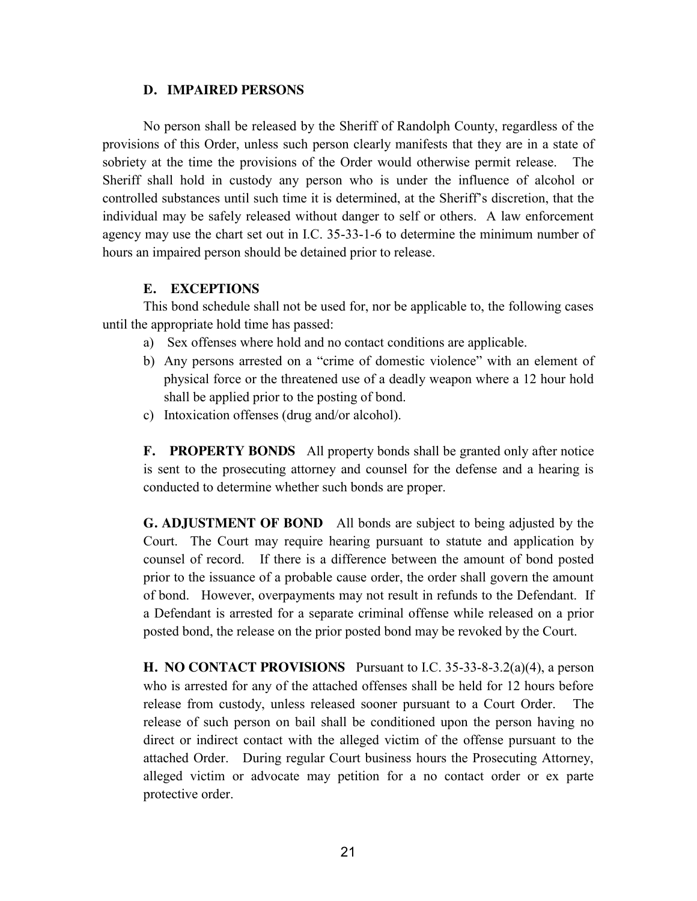#### **D. IMPAIRED PERSONS**

No person shall be released by the Sheriff of Randolph County, regardless of the provisions of this Order, unless such person clearly manifests that they are in a state of sobriety at the time the provisions of the Order would otherwise permit release. The Sheriff shall hold in custody any person who is under the influence of alcohol or controlled substances until such time it is determined, at the Sheriff's discretion, that the individual may be safely released without danger to self or others. A law enforcement agency may use the chart set out in I.C. 35-33-1-6 to determine the minimum number of hours an impaired person should be detained prior to release.

## **E. EXCEPTIONS**

This bond schedule shall not be used for, nor be applicable to, the following cases until the appropriate hold time has passed:

- a) Sex offenses where hold and no contact conditions are applicable.
- b) Any persons arrested on a "crime of domestic violence" with an element of physical force or the threatened use of a deadly weapon where a 12 hour hold shall be applied prior to the posting of bond.
- c) Intoxication offenses (drug and/or alcohol).

**F. PROPERTY BONDS** All property bonds shall be granted only after notice is sent to the prosecuting attorney and counsel for the defense and a hearing is conducted to determine whether such bonds are proper.

**G. ADJUSTMENT OF BOND** All bonds are subject to being adjusted by the Court. The Court may require hearing pursuant to statute and application by counsel of record. If there is a difference between the amount of bond posted prior to the issuance of a probable cause order, the order shall govern the amount of bond. However, overpayments may not result in refunds to the Defendant. If a Defendant is arrested for a separate criminal offense while released on a prior posted bond, the release on the prior posted bond may be revoked by the Court.

**H. NO CONTACT PROVISIONS** Pursuant to I.C. 35-33-8-3.2(a)(4), a person who is arrested for any of the attached offenses shall be held for 12 hours before release from custody, unless released sooner pursuant to a Court Order. The release of such person on bail shall be conditioned upon the person having no direct or indirect contact with the alleged victim of the offense pursuant to the attached Order. During regular Court business hours the Prosecuting Attorney, alleged victim or advocate may petition for a no contact order or ex parte protective order.